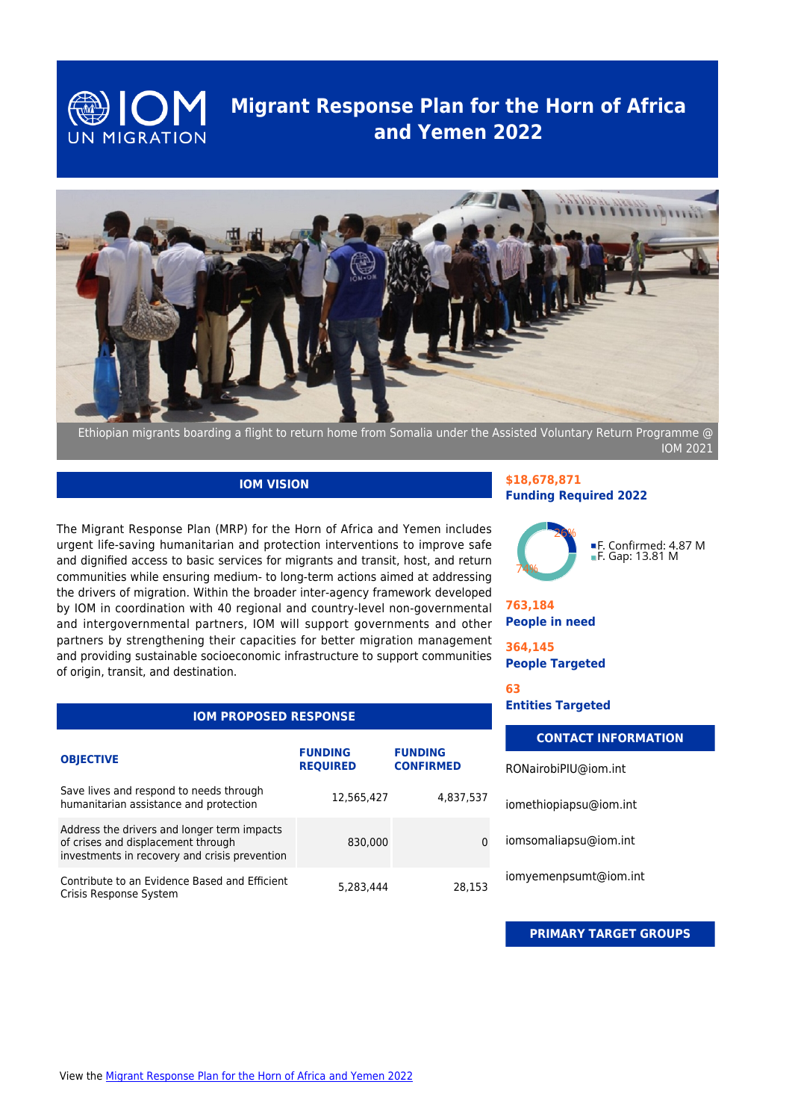

## **Migrant Response Plan for the Horn of Africa and Yemen 2022**



IOM 2021

### **IOM VISION**

The Migrant Response Plan (MRP) for the Horn of Africa and Yemen includes urgent life-saving humanitarian and protection interventions to improve safe and dignified access to basic services for migrants and transit, host, and return communities while ensuring medium- to long-term actions aimed at addressing the drivers of migration. Within the broader inter-agency framework developed by IOM in coordination with 40 regional and country-level non-governmental and intergovernmental partners, IOM will support governments and other partners by strengthening their capacities for better migration management and providing sustainable socioeconomic infrastructure to support communities of origin, transit, and destination.

| <b>IOM PROPOSED RESPONSE</b>                                                                                                       |                                   |                                    |  |
|------------------------------------------------------------------------------------------------------------------------------------|-----------------------------------|------------------------------------|--|
| <b>OBJECTIVE</b>                                                                                                                   | <b>FUNDING</b><br><b>REQUIRED</b> | <b>FUNDING</b><br><b>CONFIRMED</b> |  |
| Save lives and respond to needs through<br>humanitarian assistance and protection                                                  | 12,565,427                        | 4,837,537                          |  |
| Address the drivers and longer term impacts<br>of crises and displacement through<br>investments in recovery and crisis prevention | 830,000                           |                                    |  |
| Contribute to an Evidence Based and Efficient<br>Crisis Response System                                                            | 5,283,444                         | 28.153                             |  |

#### **\$18,678,871 Funding Required 2022**



### **763,184 People in need**

**364,145 People Targeted**

**63**

**Entities Targeted**

| <b>CONTACT INFORMATION</b> |  |
|----------------------------|--|
| RONairobiPIU@iom.int       |  |
| iomethiopiapsu@iom.int     |  |
| iomsomaliapsu@iom.int      |  |
| iomyemenpsumt@iom.int      |  |
|                            |  |

**PRIMARY TARGET GROUPS**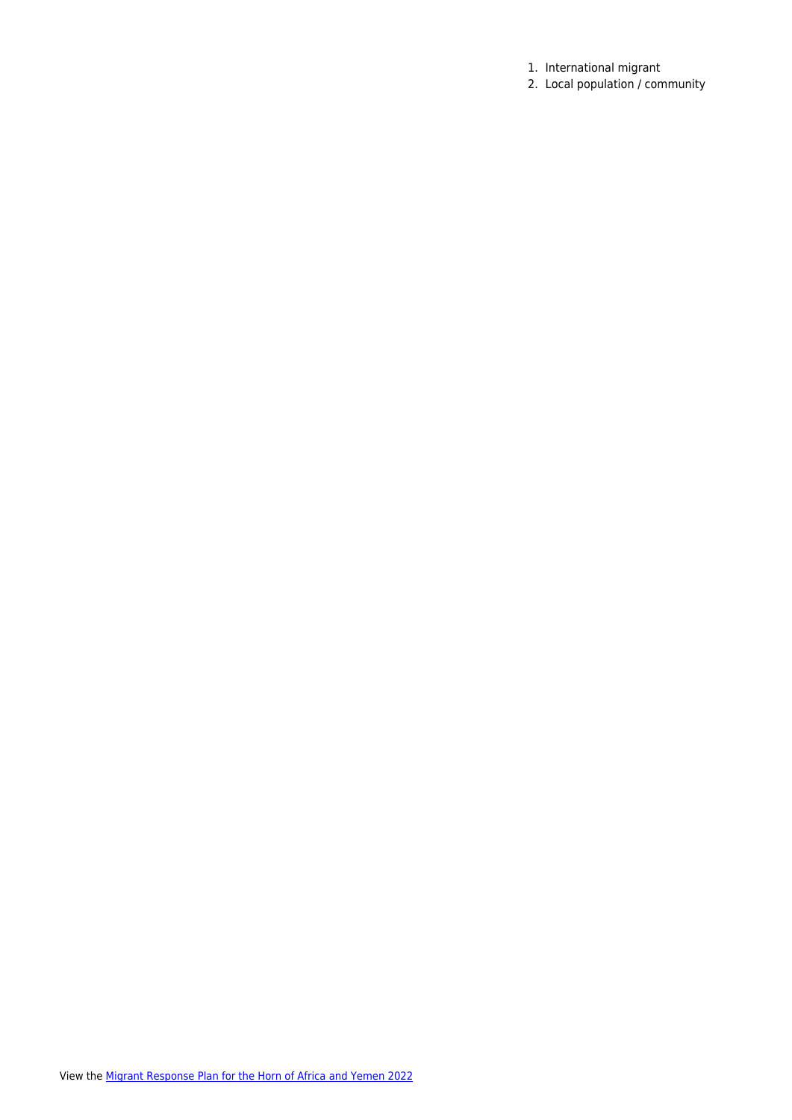- 1. International migrant
- 2. Local population / community